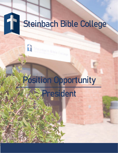## $\mathbf{f}$ Steinbach Bible College

# Position Opportunity

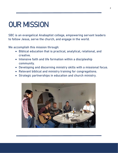# OUR MISSION

SBC is an evangelical Anabaptist college, empowering servant leaders to follow Jesus, serve the church, and engage in the world.

We accomplish this mission through:

- Biblical education that is practical, analytical, relational, and creative.
- Intensive faith and life formation within a discipleship community.
- Developing and discerning ministry skills with a missional focus.
- Relevant biblical and ministry training for congregations.
- Strategic partnerships in education and church ministry.

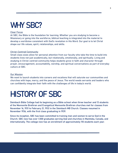# WHY SBC?

#### Clear Focus

At SBC, the Bible is the foundation for learning. Whether you are studying to become a Missionary or going into the workforce, biblical teaching is integrated into the material to develop a worldview consistent with God's revelation in His Word. Our goal is to let Christ shape our life values, spirit, relationships, and skills.

#### Christ-Centred Community

Small class sizes allow for personal attention from our faculty who take the time to build into students lives not just academically, but relationally, emotionally, and spiritually. Living and studying in Christ-centred community helps students grow in faith and character through prayer, encouragement, accountability, worship, and spiritual conversations as part of everyday culture at SBC.

#### Our Mission

We want to launch students into careers and vocations that will saturate our communities and churches with hope, mercy, and the peace of Jesus. The world needs servants and leaders who can confidently integrate their faith with the challenges of life in today's world.

# HISTORY OF SBC

Steinbach Bible College had its beginning as a Bible school when three teacher and 13 students of the Mennonite Brethren and Evangelical Mennonite Brethren churches met for classes from November 16, 1931 to February 21, 1932 in the Steinbach MB Church. Classes resumed in November 1936, with the first class graduating in 1939.

Since its inception, SBC has been committed to training men and women to serve God in the Church. SBC now has over 1,500 graduates serving God and churches in Manitoba, Canada, and internationally. The college now has an enrollment of approximately 110 students each year.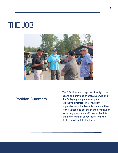# THE JOB



#### Position Summary

The SBC President reports directly to the Board and provides overall supervision of the College, giving leadership and executive direction. The President supervises and implements the objectives of the College as set out in the constitution by having adequate staff, proper facilities, and by working in cooperation with the Staff, Board, and its Partners.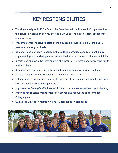### KEY RESPONSIBILITIES

- Working closely with SBC's Board, the President will be the head of implementing the college's visions, missions, and goals while carrying out policies, procedures, and directives.
- Presents comprehensive reports of the College's activities to the Board and its partners on a regular basis.
- Demonstrates Christian integrity in the College's practices and relationships by implementing appropriate policies, ethical business practices, and honest publicity.
- Directs and supports the development of appropriate strategies for attracting funds to the College.
- Demonstrates Christian Integrity in institutional practices and relationships.
- Develops and maintains key donor relationships and alliances.
- Is the official representative and spokesperson of the College and initiates personal contacts and speaking engagements.
- Improves the College's effectiveness through continuous assessment and planning.
- Provides responsible management of finances and resources to accomplish College goals.
- Guides the College in maintaining ABHE accreditation standards.

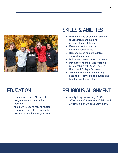

#### SKILLS & ABILITIES

- Demonstrates effective executive, leadership, planning, and organizational abilities.
- Excellent written and oral communication skills.
- Demonstrates and articulates servant leadership.
- Builds and fosters effective teams.
- Develops and maintains working relationships with Staff, Faculty, Board and College Partners.
- Skilled in the use of technology required to carry out the duties and functions of the position.

### **EDUCATION**

- Graduation from a Master's level program from an accredited institution.
- Minimum 10 years recent related experience in a Christian, not for profit or educational organization.

### RELIGIOUS ALIGNMENT

 Ability to agree and sign SBC's Affirmation of Statement of Faith and Affirmation of Lifestyle Statement.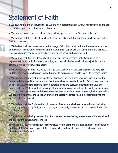## Statement of Faith

1. We believe that the Scriptures of the Old and New Testaments are wholly inspired by God and are the infallible and final authority in faith and life.

2. We believe in one God, eternally existing in three persons: Father, Son, and Holy Spirit.

3. We believe that Jesus Christ was begotten by the Holy Spirit, born of the virgin Mary, and is true God and true man.

4. We believe that man was created in the image of God: that he sinned, and thereby incurred that death which is separation from God; and that all human beings are sinful by nature and in need of redemption which can be accomplished alone by the grace and power of God.

5. We believe that the Lord Jesus Christ died for our sins, according to the Scriptures, as a representative and substitutionary sacrifice; and that all who believe in Him are justified on the ground of His sacrificially shed Blood.

6. We believe that all who receive by faith the Lord Jesus Christ are born again of the Holy Spirit and thereby become children of God with power to overcome sin and to live a life pleasing to God.

7. We believe that a way of life is taught by Christ and the Scriptures which is God's plan for the human individual and for the race, and that those who espouse discipleship of Christ are bound to live in this way, thus manifesting in their personal lives and social relationships the love and holiness of God. We believe that this way of life means also non-resistance to evil by carnal means, the fullest exercise of love, and the resolute abandonment of the use of violence, including warfare. We believe further that the Christian life will of necessity express itself in nonconformity to the world in life and conduct.

8. We believe that the Christian Church consists of believers who have repented from their sins, have accepted Christ by faith, are born again, and sincerely endeavour by the grace of God to live the Christ-life.

9. We believe in the bodily resurrection of all people, the everlasting blessedness of the saved, and the everlasting punishment of the lost.

10. We believe that our generation is responsible for the complete evangelization of this generation and that all believers carry part of this responsibility and should make the reaching of this objective their life's work.